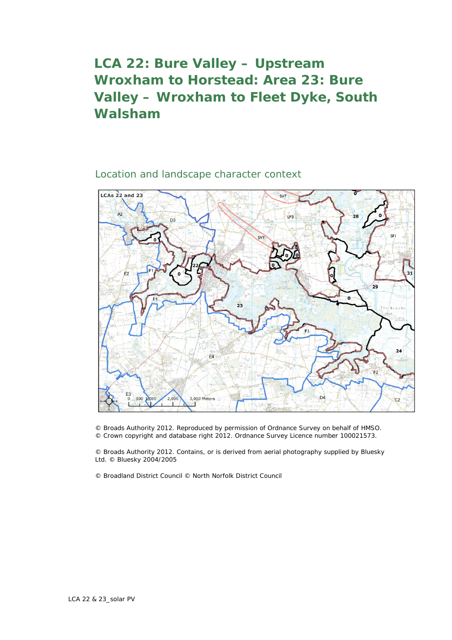## **LCA 22: Bure Valley – Upstream Wroxham to Horstead: Area 23: Bure Valley – Wroxham to Fleet Dyke, South Walsham**

## Location and landscape character context



© Broads Authority 2012. Reproduced by permission of Ordnance Survey on behalf of HMSO. © Crown copyright and database right 2012. Ordnance Survey Licence number 100021573.

© Broads Authority 2012. Contains, or is derived from aerial photography supplied by Bluesky Ltd. © Bluesky 2004/2005

© Broadland District Council © North Norfolk District Council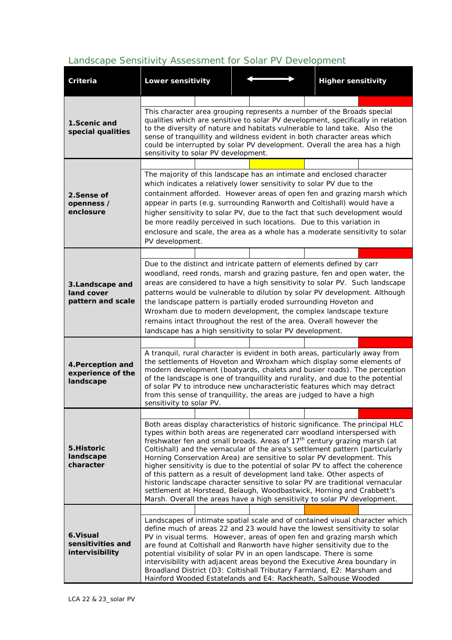## *Landscape Sensitivity Assessment for Solar PV Development*

| Criteria                                            | Lower sensitivity                                                                                                                                                                                                                                                                                                                                                                                                                                                                                                                                                                                                                                                                                                                                                                                               |  |  |  |  | <b>Higher sensitivity</b>                                                                                                                                                                                                                                                                                                                                                                                                                                                                                                                                                                                       |  |
|-----------------------------------------------------|-----------------------------------------------------------------------------------------------------------------------------------------------------------------------------------------------------------------------------------------------------------------------------------------------------------------------------------------------------------------------------------------------------------------------------------------------------------------------------------------------------------------------------------------------------------------------------------------------------------------------------------------------------------------------------------------------------------------------------------------------------------------------------------------------------------------|--|--|--|--|-----------------------------------------------------------------------------------------------------------------------------------------------------------------------------------------------------------------------------------------------------------------------------------------------------------------------------------------------------------------------------------------------------------------------------------------------------------------------------------------------------------------------------------------------------------------------------------------------------------------|--|
| 1.Scenic and<br>special qualities                   |                                                                                                                                                                                                                                                                                                                                                                                                                                                                                                                                                                                                                                                                                                                                                                                                                 |  |  |  |  |                                                                                                                                                                                                                                                                                                                                                                                                                                                                                                                                                                                                                 |  |
|                                                     | This character area grouping represents a number of the Broads special<br>qualities which are sensitive to solar PV development, specifically in relation<br>to the diversity of nature and habitats vulnerable to land take. Also the<br>sense of tranquillity and wildness evident in both character areas which<br>could be interrupted by solar PV development. Overall the area has a high<br>sensitivity to solar PV development.                                                                                                                                                                                                                                                                                                                                                                         |  |  |  |  |                                                                                                                                                                                                                                                                                                                                                                                                                                                                                                                                                                                                                 |  |
| 2. Sense of<br>openness /<br>enclosure              | The majority of this landscape has an intimate and enclosed character<br>which indicates a relatively lower sensitivity to solar PV due to the<br>containment afforded. However areas of open fen and grazing marsh which<br>appear in parts (e.g. surrounding Ranworth and Coltishall) would have a<br>higher sensitivity to solar PV, due to the fact that such development would<br>be more readily perceived in such locations. Due to this variation in<br>enclosure and scale, the area as a whole has a moderate sensitivity to solar<br>PV development.                                                                                                                                                                                                                                                 |  |  |  |  |                                                                                                                                                                                                                                                                                                                                                                                                                                                                                                                                                                                                                 |  |
|                                                     |                                                                                                                                                                                                                                                                                                                                                                                                                                                                                                                                                                                                                                                                                                                                                                                                                 |  |  |  |  |                                                                                                                                                                                                                                                                                                                                                                                                                                                                                                                                                                                                                 |  |
| 3. Landscape and<br>land cover<br>pattern and scale | Due to the distinct and intricate pattern of elements defined by carr<br>woodland, reed ronds, marsh and grazing pasture, fen and open water, the<br>areas are considered to have a high sensitivity to solar PV. Such landscape<br>patterns would be vulnerable to dilution by solar PV development. Although<br>the landscape pattern is partially eroded surrounding Hoveton and<br>Wroxham due to modern development, the complex landscape texture<br>remains intact throughout the rest of the area. Overall however the<br>landscape has a high sensitivity to solar PV development.                                                                                                                                                                                                                     |  |  |  |  |                                                                                                                                                                                                                                                                                                                                                                                                                                                                                                                                                                                                                 |  |
| 4. Perception and<br>experience of the<br>landscape | A tranquil, rural character is evident in both areas, particularly away from<br>the settlements of Hoveton and Wroxham which display some elements of<br>modern development (boatyards, chalets and busier roads). The perception<br>of the landscape is one of tranquillity and rurality, and due to the potential<br>of solar PV to introduce new uncharacteristic features which may detract<br>from this sense of tranquillity, the areas are judged to have a high<br>sensitivity to solar PV.                                                                                                                                                                                                                                                                                                             |  |  |  |  |                                                                                                                                                                                                                                                                                                                                                                                                                                                                                                                                                                                                                 |  |
|                                                     |                                                                                                                                                                                                                                                                                                                                                                                                                                                                                                                                                                                                                                                                                                                                                                                                                 |  |  |  |  |                                                                                                                                                                                                                                                                                                                                                                                                                                                                                                                                                                                                                 |  |
| 5. Historic<br>landscape<br>character               | Both areas display characteristics of historic significance. The principal HLC<br>types within both areas are regenerated carr woodland interspersed with<br>freshwater fen and small broads. Areas of 17 <sup>th</sup> century grazing marsh (at<br>Coltishall) and the vernacular of the area's settlement pattern (particularly<br>Horning Conservation Area) are sensitive to solar PV development. This<br>higher sensitivity is due to the potential of solar PV to affect the coherence<br>of this pattern as a result of development land take. Other aspects of<br>historic landscape character sensitive to solar PV are traditional vernacular<br>settlement at Horstead, Belaugh, Woodbastwick, Horning and Crabbett's<br>Marsh. Overall the areas have a high sensitivity to solar PV development. |  |  |  |  |                                                                                                                                                                                                                                                                                                                                                                                                                                                                                                                                                                                                                 |  |
| 6.Visual<br>sensitivities and<br>intervisibility    |                                                                                                                                                                                                                                                                                                                                                                                                                                                                                                                                                                                                                                                                                                                                                                                                                 |  |  |  |  | Landscapes of intimate spatial scale and of contained visual character which<br>define much of areas 22 and 23 would have the lowest sensitivity to solar<br>PV in visual terms. However, areas of open fen and grazing marsh which<br>are found at Coltishall and Ranworth have higher sensitivity due to the<br>potential visibility of solar PV in an open landscape. There is some<br>intervisibility with adjacent areas beyond the Executive Area boundary in<br>Broadland District (D3: Coltishall Tributary Farmland, E2: Marsham and<br>Hainford Wooded Estatelands and E4: Rackheath, Salhouse Wooded |  |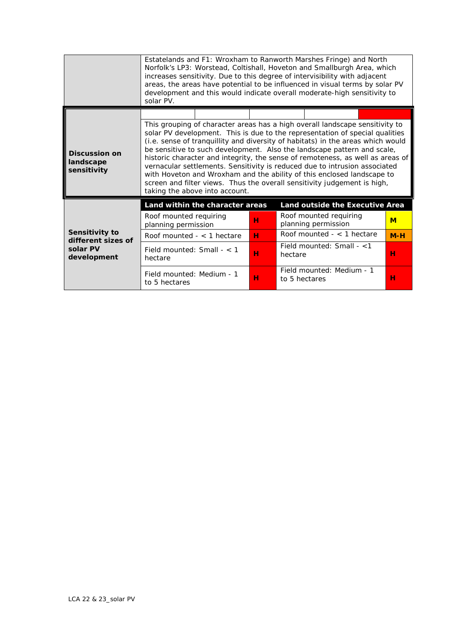|                                                                 | Estatelands and F1: Wroxham to Ranworth Marshes Fringe) and North<br>Norfolk's LP3: Worstead, Coltishall, Hoveton and Smallburgh Area, which<br>increases sensitivity. Due to this degree of intervisibility with adjacent<br>areas, the areas have potential to be influenced in visual terms by solar PV<br>development and this would indicate overall moderate-high sensitivity to<br>solar PV.                                                                                                                                                                                                                                                                                |   |                                         |                                               |       |  |  |  |
|-----------------------------------------------------------------|------------------------------------------------------------------------------------------------------------------------------------------------------------------------------------------------------------------------------------------------------------------------------------------------------------------------------------------------------------------------------------------------------------------------------------------------------------------------------------------------------------------------------------------------------------------------------------------------------------------------------------------------------------------------------------|---|-----------------------------------------|-----------------------------------------------|-------|--|--|--|
|                                                                 |                                                                                                                                                                                                                                                                                                                                                                                                                                                                                                                                                                                                                                                                                    |   |                                         |                                               |       |  |  |  |
| Discussion on<br>landscape<br>sensitivity                       | This grouping of character areas has a high overall landscape sensitivity to<br>solar PV development. This is due to the representation of special qualities<br>(i.e. sense of tranquillity and diversity of habitats) in the areas which would<br>be sensitive to such development. Also the landscape pattern and scale,<br>historic character and integrity, the sense of remoteness, as well as areas of<br>vernacular settlements. Sensitivity is reduced due to intrusion associated<br>with Hoveton and Wroxham and the ability of this enclosed landscape to<br>screen and filter views. Thus the overall sensitivity judgement is high,<br>taking the above into account. |   |                                         |                                               |       |  |  |  |
|                                                                 | Land within the character areas                                                                                                                                                                                                                                                                                                                                                                                                                                                                                                                                                                                                                                                    |   |                                         | Land outside the Executive Area               |       |  |  |  |
| Sensitivity to<br>different sizes of<br>solar PV<br>development | Roof mounted requiring<br>planning permission                                                                                                                                                                                                                                                                                                                                                                                                                                                                                                                                                                                                                                      | н |                                         | Roof mounted requiring<br>planning permission | M     |  |  |  |
|                                                                 | Roof mounted $-$ < 1 hectare                                                                                                                                                                                                                                                                                                                                                                                                                                                                                                                                                                                                                                                       | н | Roof mounted $-$ < 1 hectare            |                                               | $M-H$ |  |  |  |
|                                                                 | Field mounted: Small - < 1<br>hectare                                                                                                                                                                                                                                                                                                                                                                                                                                                                                                                                                                                                                                              | н | Field mounted: $Small - < 1$<br>hectare |                                               | н     |  |  |  |
|                                                                 | Field mounted: Medium - 1<br>to 5 hectares                                                                                                                                                                                                                                                                                                                                                                                                                                                                                                                                                                                                                                         | н | to 5 hectares                           | Field mounted: Medium - 1                     | н     |  |  |  |